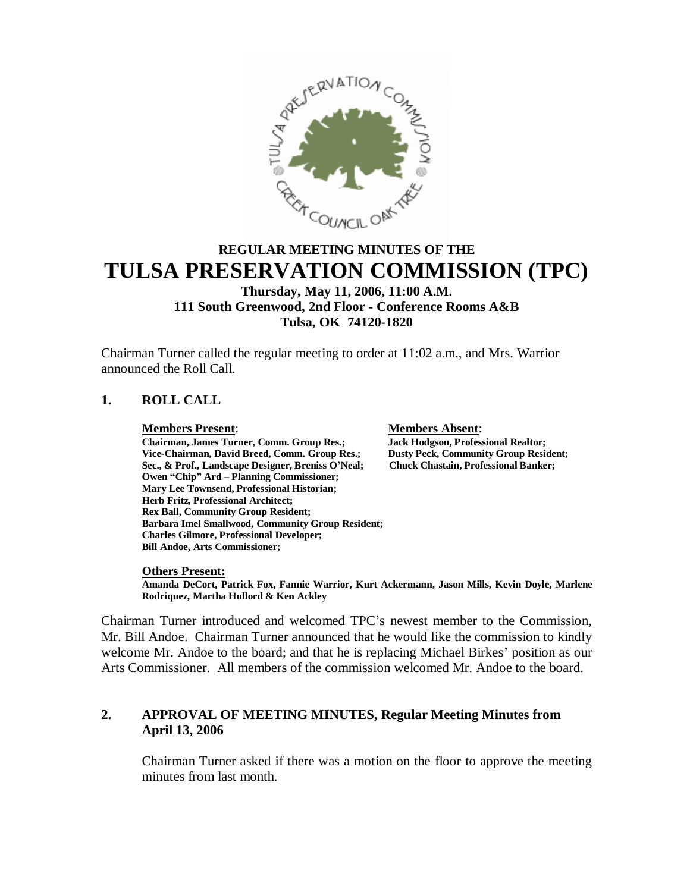

# **REGULAR MEETING MINUTES OF THE TULSA PRESERVATION COMMISSION (TPC)**

## **Thursday, May 11, 2006, 11:00 A.M. 111 South Greenwood, 2nd Floor - Conference Rooms A&B Tulsa, OK 74120-1820**

Chairman Turner called the regular meeting to order at 11:02 a.m., and Mrs. Warrior announced the Roll Call.

## **1. ROLL CALL**

**Members Present**: **Members Absent**: **Chairman, James Turner, Comm. Group Res.; Jack Hodgson, Professional Realtor;** Vice-Chairman, David Breed, Comm. Group Res.; Dusty Peck, Community Group Resident<br>Sec., & Prof., Landscape Designer, Breniss O'Neal; Chuck Chastain, Professional Banker; Sec., & Prof., Landscape Designer, Breniss O'Neal; **Owen "Chip" Ard – Planning Commissioner; Mary Lee Townsend, Professional Historian; Herb Fritz, Professional Architect; Rex Ball, Community Group Resident; Barbara Imel Smallwood, Community Group Resident; Charles Gilmore, Professional Developer; Bill Andoe, Arts Commissioner;**

#### **Others Present:**

**Amanda DeCort, Patrick Fox, Fannie Warrior, Kurt Ackermann, Jason Mills, Kevin Doyle, Marlene Rodriquez, Martha Hullord & Ken Ackley**

Chairman Turner introduced and welcomed TPC's newest member to the Commission, Mr. Bill Andoe. Chairman Turner announced that he would like the commission to kindly welcome Mr. Andoe to the board; and that he is replacing Michael Birkes' position as our Arts Commissioner. All members of the commission welcomed Mr. Andoe to the board.

## **2. APPROVAL OF MEETING MINUTES, Regular Meeting Minutes from April 13, 2006**

Chairman Turner asked if there was a motion on the floor to approve the meeting minutes from last month.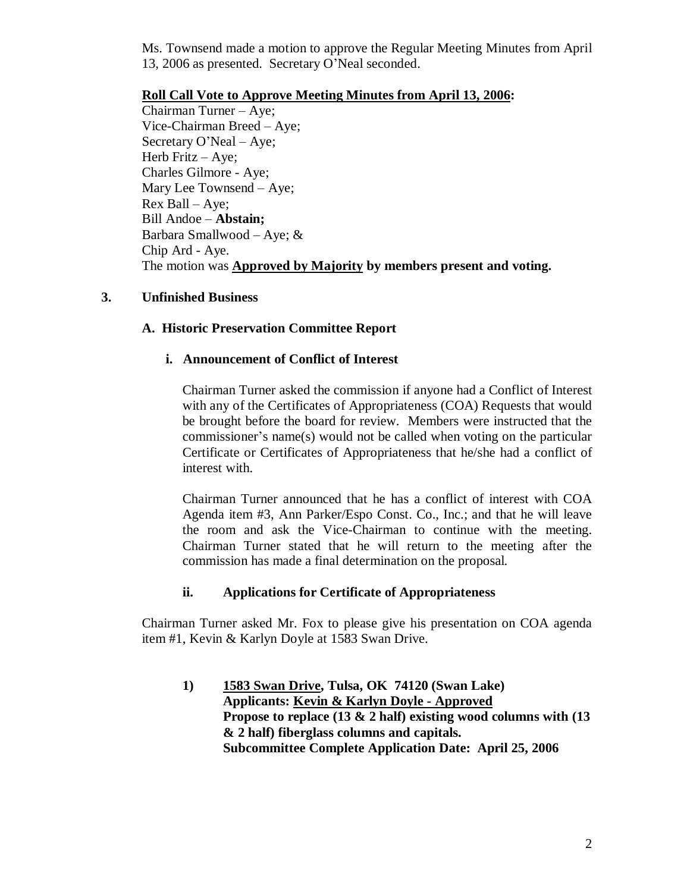Ms. Townsend made a motion to approve the Regular Meeting Minutes from April 13, 2006 as presented. Secretary O'Neal seconded.

## **Roll Call Vote to Approve Meeting Minutes from April 13, 2006:**

Chairman Turner –Aye; Vice-Chairman Breed – Aye; Secretary O'Neal –Aye; Herb Fritz – Aye; Charles Gilmore - Aye; Mary Lee Townsend – Aye; Rex Ball –Aye; Bill Andoe –**Abstain;** Barbara Smallwood – Aye;  $&$ Chip Ard - Aye. The motion was **Approved by Majority by members present and voting.**

## **3. Unfinished Business**

## **A. Historic Preservation Committee Report**

## **i. Announcement of Conflict of Interest**

Chairman Turner asked the commission if anyone had a Conflict of Interest with any of the Certificates of Appropriateness (COA) Requests that would be brought before the board for review. Members were instructed that the commissioner's name(s) would not be called when voting on the particular Certificate or Certificates of Appropriateness that he/she had a conflict of interest with.

Chairman Turner announced that he has a conflict of interest with COA Agenda item #3, Ann Parker/Espo Const. Co., Inc.; and that he will leave the room and ask the Vice-Chairman to continue with the meeting. Chairman Turner stated that he will return to the meeting after the commission has made a final determination on the proposal.

## **ii. Applications for Certificate of Appropriateness**

Chairman Turner asked Mr. Fox to please give his presentation on COA agenda item #1, Kevin & Karlyn Doyle at 1583 Swan Drive.

**1) 1583 Swan Drive, Tulsa, OK 74120 (Swan Lake) Applicants: Kevin & Karlyn Doyle - Approved Propose to replace (13 & 2 half) existing wood columns with (13 & 2 half) fiberglass columns and capitals. Subcommittee Complete Application Date: April 25, 2006**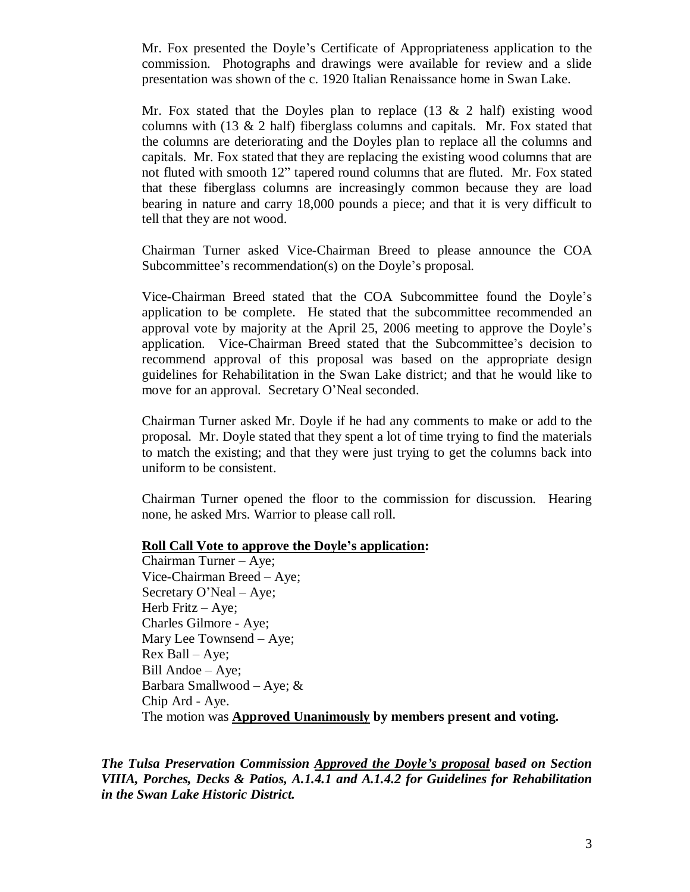Mr. Fox presented the Doyle's Certificate of Appropriateness application to the commission. Photographs and drawings were available for review and a slide presentation was shown of the c. 1920 Italian Renaissance home in Swan Lake.

Mr. Fox stated that the Doyles plan to replace  $(13 \& 2 \text{ half})$  existing wood columns with (13 & 2 half) fiberglass columns and capitals. Mr. Fox stated that the columns are deteriorating and the Doyles plan to replace all the columns and capitals. Mr. Fox stated that they are replacing the existing wood columns that are not fluted with smooth 12" tapered round columns that are fluted. Mr. Fox stated that these fiberglass columns are increasingly common because they are load bearing in nature and carry 18,000 pounds a piece; and that it is very difficult to tell that they are not wood.

Chairman Turner asked Vice-Chairman Breed to please announce the COA Subcommittee's recommendation(s) on the Doyle's proposal.

Vice-Chairman Breed stated that the COA Subcommittee found the Doyle's application to be complete. He stated that the subcommittee recommended an approval vote by majority at the April 25, 2006 meeting to approve the Doyle's application. Vice-Chairman Breed stated that the Subcommittee's decision to recommend approval of this proposal was based on the appropriate design guidelines for Rehabilitation in the Swan Lake district; and that he would like to move for an approval. Secretary O'Neal seconded.

Chairman Turner asked Mr. Doyle if he had any comments to make or add to the proposal. Mr. Doyle stated that they spent a lot of time trying to find the materials to match the existing; and that they were just trying to get the columns back into uniform to be consistent.

Chairman Turner opened the floor to the commission for discussion. Hearing none, he asked Mrs. Warrior to please call roll.

#### **Roll Call Vote to approve the Doyle's application:**

Chairman Turner – Aye; Vice-Chairman Breed – Aye; Secretary O'Neal – Aye; Herb Fritz – Aye; Charles Gilmore - Aye; Mary Lee Townsend – Aye; Rex Ball –Aye; Bill Andoe – Aye; Barbara Smallwood – Aye; & Chip Ard - Aye. The motion was **Approved Unanimously by members present and voting.**

*The Tulsa Preservation Commission Approved the Doyle's proposal based on Section VIIIA, Porches, Decks & Patios, A.1.4.1 and A.1.4.2 for Guidelines for Rehabilitation in the Swan Lake Historic District.*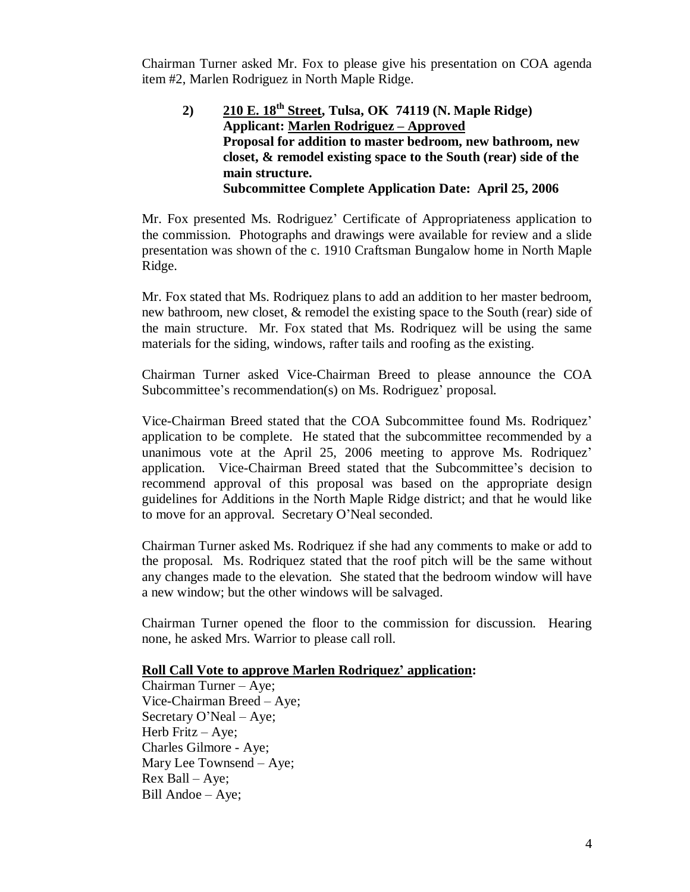Chairman Turner asked Mr. Fox to please give his presentation on COA agenda item #2, Marlen Rodriguez in North Maple Ridge.

**2) 210 E. 18th Street, Tulsa, OK 74119 (N. Maple Ridge) Applicant: Marlen Rodriguez – Approved Proposal for addition to master bedroom, new bathroom, new closet, & remodel existing space to the South (rear) side of the main structure. Subcommittee Complete Application Date: April 25, 2006**

Mr. Fox presented Ms. Rodriguez' Certificate of Appropriateness application to the commission. Photographs and drawings were available for review and a slide presentation was shown of the c. 1910 Craftsman Bungalow home in North Maple Ridge.

Mr. Fox stated that Ms. Rodriquez plans to add an addition to her master bedroom, new bathroom, new closet, & remodel the existing space to the South (rear) side of the main structure. Mr. Fox stated that Ms. Rodriquez will be using the same materials for the siding, windows, rafter tails and roofing as the existing.

Chairman Turner asked Vice-Chairman Breed to please announce the COA Subcommittee's recommendation(s) on Ms. Rodriguez' proposal.

Vice-Chairman Breed stated that the COA Subcommittee found Ms. Rodriquez' application to be complete. He stated that the subcommittee recommended by a unanimous vote at the April 25, 2006 meeting to approve Ms. Rodriquez' application. Vice-Chairman Breed stated that the Subcommittee's decision to recommend approval of this proposal was based on the appropriate design guidelines for Additions in the North Maple Ridge district; and that he would like to move for an approval. Secretary O'Neal seconded.

Chairman Turner asked Ms. Rodriquez if she had any comments to make or add to the proposal. Ms. Rodriquez stated that the roof pitch will be the same without any changes made to the elevation. She stated that the bedroom window will have a new window; but the other windows will be salvaged.

Chairman Turner opened the floor to the commission for discussion. Hearing none, he asked Mrs. Warrior to please call roll.

#### **Roll Call Vote to approve Marlen Rodriquez' application:**

Chairman Turner – Aye; Vice-Chairman Breed – Aye; Secretary O'Neal – Aye; Herb Fritz – Aye; Charles Gilmore - Aye; Mary Lee Townsend – Aye; Rex Ball –Aye; Bill Andoe – Aye;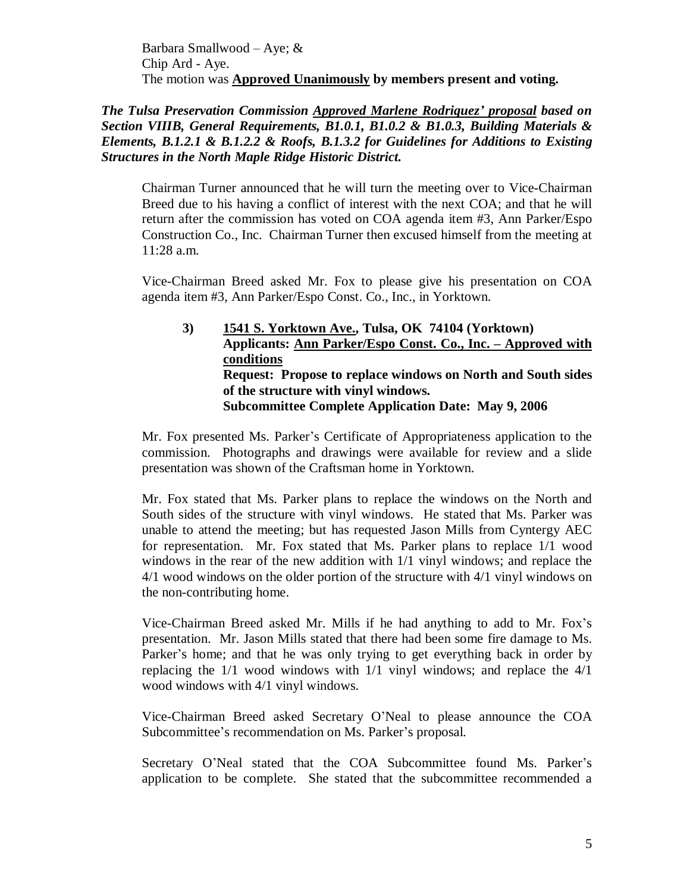Barbara Smallwood – Aye; & Chip Ard - Aye. The motion was **Approved Unanimously by members present and voting.**

*The Tulsa Preservation Commission Approved Marlene Rodriquez' proposal based on Section VIIIB, General Requirements, B1.0.1, B1.0.2 & B1.0.3, Building Materials & Elements, B.1.2.1 & B.1.2.2 & Roofs, B.1.3.2 for Guidelines for Additions to Existing Structures in the North Maple Ridge Historic District.*

Chairman Turner announced that he will turn the meeting over to Vice-Chairman Breed due to his having a conflict of interest with the next COA; and that he will return after the commission has voted on COA agenda item #3, Ann Parker/Espo Construction Co., Inc. Chairman Turner then excused himself from the meeting at 11:28 a.m.

Vice-Chairman Breed asked Mr. Fox to please give his presentation on COA agenda item #3, Ann Parker/Espo Const. Co., Inc., in Yorktown.

**3) 1541 S. Yorktown Ave., Tulsa, OK 74104 (Yorktown) Applicants: Ann Parker/Espo Const. Co., Inc. – Approved with conditions Request: Propose to replace windows on North and South sides of the structure with vinyl windows. Subcommittee Complete Application Date: May 9, 2006**

Mr. Fox presented Ms. Parker's Certificate of Appropriateness application to the commission. Photographs and drawings were available for review and a slide presentation was shown of the Craftsman home in Yorktown.

Mr. Fox stated that Ms. Parker plans to replace the windows on the North and South sides of the structure with vinyl windows. He stated that Ms. Parker was unable to attend the meeting; but has requested Jason Mills from Cyntergy AEC for representation. Mr. Fox stated that Ms. Parker plans to replace 1/1 wood windows in the rear of the new addition with 1/1 vinyl windows; and replace the 4/1 wood windows on the older portion of the structure with 4/1 vinyl windows on the non-contributing home.

Vice-Chairman Breed asked Mr. Mills if he had anything to add to Mr. Fox's presentation. Mr. Jason Mills stated that there had been some fire damage to Ms. Parker's home; and that he was only trying to get everything back in order by replacing the 1/1 wood windows with 1/1 vinyl windows; and replace the 4/1 wood windows with 4/1 vinyl windows.

Vice-Chairman Breed asked Secretary O'Neal to please announce the COA Subcommittee's recommendation on Ms. Parker's proposal.

Secretary O'Neal stated that the COA Subcommittee found Ms. Parker's application to be complete. She stated that the subcommittee recommended a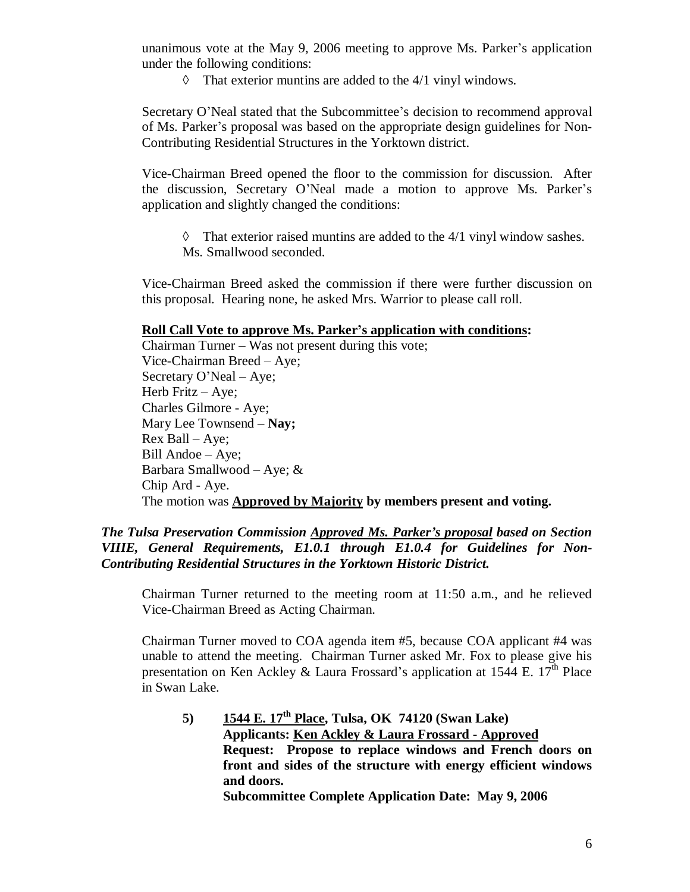unanimous vote at the May 9, 2006 meeting to approve Ms. Parker's application under the following conditions:

 $\Diamond$  That exterior muntins are added to the 4/1 vinyl windows.

Secretary O'Neal stated that the Subcommittee's decision to recommend approval of Ms. Parker's proposal was based on the appropriate design guidelines for Non-Contributing Residential Structures in the Yorktown district.

Vice-Chairman Breed opened the floor to the commission for discussion. After the discussion, Secretary O'Neal made a motion to approve Ms. Parker's application and slightly changed the conditions:

 $\Diamond$  That exterior raised muntins are added to the 4/1 vinyl window sashes. Ms. Smallwood seconded.

Vice-Chairman Breed asked the commission if there were further discussion on this proposal. Hearing none, he asked Mrs. Warrior to please call roll.

#### **Roll Call Vote to approve Ms. Parker's application with conditions:**

Chairman Turner –Was not present during this vote; Vice-Chairman Breed – Aye; Secretary O'Neal – Aye; Herb Fritz – Aye; Charles Gilmore - Aye; Mary Lee Townsend –**Nay;** Rex Ball –Aye; Bill Andoe – Aye; Barbara Smallwood – Aye; & Chip Ard - Aye. The motion was **Approved by Majority by members present and voting.**

### *The Tulsa Preservation Commission Approved Ms. Parker's proposal based on Section VIIIE, General Requirements, E1.0.1 through E1.0.4 for Guidelines for Non-Contributing Residential Structures in the Yorktown Historic District.*

Chairman Turner returned to the meeting room at 11:50 a.m., and he relieved Vice-Chairman Breed as Acting Chairman.

Chairman Turner moved to COA agenda item #5, because COA applicant #4 was unable to attend the meeting. Chairman Turner asked Mr. Fox to please give his presentation on Ken Ackley & Laura Frossard's application at 1544 E.  $17<sup>th</sup>$  Place in Swan Lake.

**5) 1544 E. 17th Place, Tulsa, OK 74120 (Swan Lake) Applicants: Ken Ackley & Laura Frossard - Approved Request: Propose to replace windows and French doors on front and sides of the structure with energy efficient windows and doors.**

**Subcommittee Complete Application Date: May 9, 2006**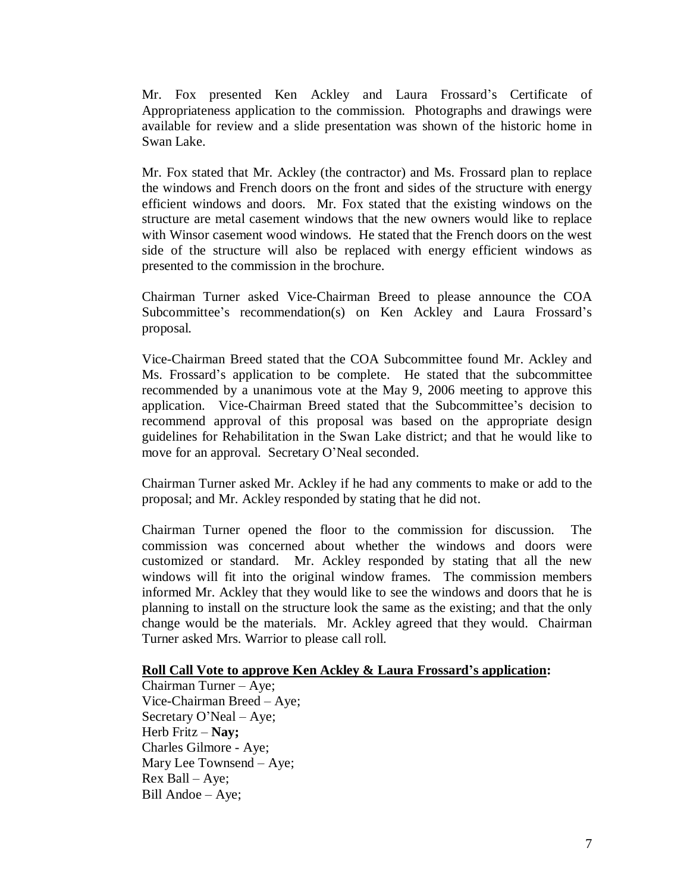Mr. Fox presented Ken Ackley and Laura Frossard's Certificate of Appropriateness application to the commission. Photographs and drawings were available for review and a slide presentation was shown of the historic home in Swan Lake.

Mr. Fox stated that Mr. Ackley (the contractor) and Ms. Frossard plan to replace the windows and French doors on the front and sides of the structure with energy efficient windows and doors. Mr. Fox stated that the existing windows on the structure are metal casement windows that the new owners would like to replace with Winsor casement wood windows. He stated that the French doors on the west side of the structure will also be replaced with energy efficient windows as presented to the commission in the brochure.

Chairman Turner asked Vice-Chairman Breed to please announce the COA Subcommittee's recommendation(s) on Ken Ackley and Laura Frossard's proposal.

Vice-Chairman Breed stated that the COA Subcommittee found Mr. Ackley and Ms. Frossard's application to be complete. He stated that the subcommittee recommended by a unanimous vote at the May 9, 2006 meeting to approve this application. Vice-Chairman Breed stated that the Subcommittee's decision to recommend approval of this proposal was based on the appropriate design guidelines for Rehabilitation in the Swan Lake district; and that he would like to move for an approval. Secretary O'Neal seconded.

Chairman Turner asked Mr. Ackley if he had any comments to make or add to the proposal; and Mr. Ackley responded by stating that he did not.

Chairman Turner opened the floor to the commission for discussion. The commission was concerned about whether the windows and doors were customized or standard. Mr. Ackley responded by stating that all the new windows will fit into the original window frames. The commission members informed Mr. Ackley that they would like to see the windows and doors that he is planning to install on the structure look the same as the existing; and that the only change would be the materials. Mr. Ackley agreed that they would. Chairman Turner asked Mrs. Warrior to please call roll.

#### **Roll Call Vote to approve Ken Ackley & Laura Frossard's application:**

Chairman Turner – Aye; Vice-Chairman Breed – Aye; Secretary O'Neal – Aye; Herb Fritz –**Nay;** Charles Gilmore - Aye; Mary Lee Townsend – Aye; Rex Ball –Aye; Bill Andoe – Aye;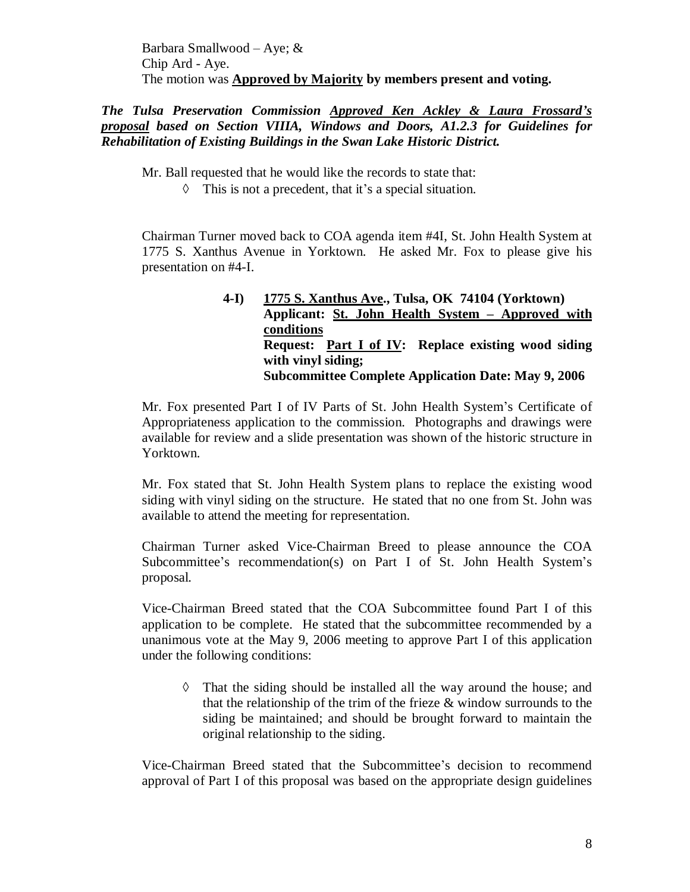Barbara Smallwood – Aye; & Chip Ard - Aye. The motion was **Approved by Majority by members present and voting.**

*The Tulsa Preservation Commission Approved Ken Ackley & Laura Frossard's proposal based on Section VIIIA, Windows and Doors, A1.2.3 for Guidelines for Rehabilitation of Existing Buildings in the Swan Lake Historic District.*

Mr. Ball requested that he would like the records to state that:

 $\Diamond$  This is not a precedent, that it's a special situation.

Chairman Turner moved back to COA agenda item #4I, St. John Health System at 1775 S. Xanthus Avenue in Yorktown. He asked Mr. Fox to please give his presentation on #4-I.

## **4-I) 1775 S. Xanthus Ave., Tulsa, OK 74104 (Yorktown) Applicant: St. John Health System –Approved with conditions Request: Part I of IV: Replace existing wood siding with vinyl siding; Subcommittee Complete Application Date: May 9, 2006**

Mr. Fox presented Part I of IV Parts of St. John Health System's Certificate of Appropriateness application to the commission. Photographs and drawings were available for review and a slide presentation was shown of the historic structure in Yorktown.

Mr. Fox stated that St. John Health System plans to replace the existing wood siding with vinyl siding on the structure. He stated that no one from St. John was available to attend the meeting for representation.

Chairman Turner asked Vice-Chairman Breed to please announce the COA Subcommittee's recommendation(s) on Part I of St. John Health System's proposal.

Vice-Chairman Breed stated that the COA Subcommittee found Part I of this application to be complete. He stated that the subcommittee recommended by a unanimous vote at the May 9, 2006 meeting to approve Part I of this application under the following conditions:

 $\Diamond$  That the siding should be installed all the way around the house; and that the relationship of the trim of the frieze & window surrounds to the siding be maintained; and should be brought forward to maintain the original relationship to the siding.

Vice-Chairman Breed stated that the Subcommittee's decision to recommend approval of Part I of this proposal was based on the appropriate design guidelines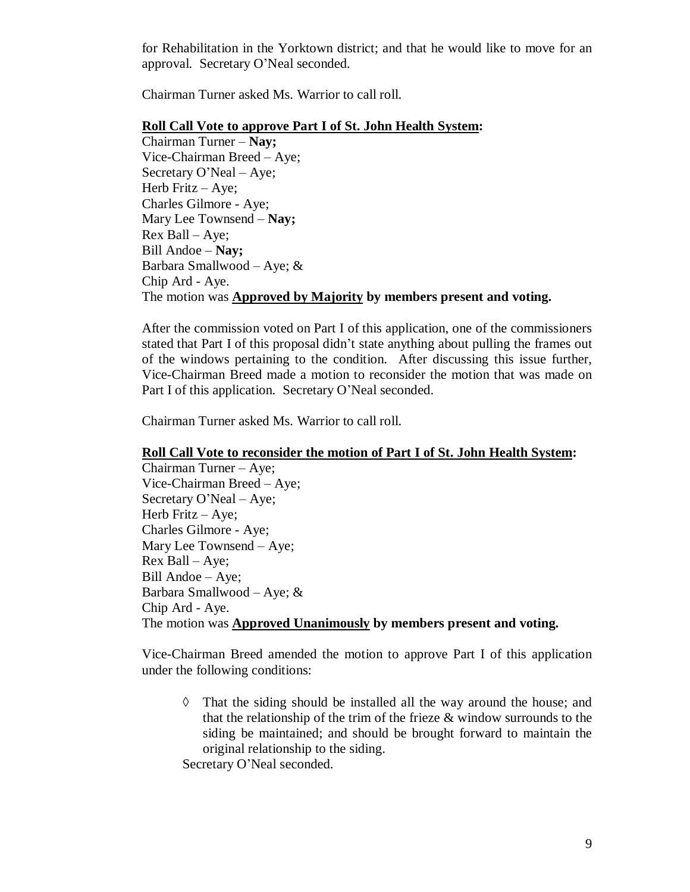for Rehabilitation in the Yorktown district; and that he would like to move for an approval. Secretary O'Neal seconded.

Chairman Turner asked Ms. Warrior to call roll.

#### **Roll Call Vote to approve Part I of St. John Health System:**

Chairman Turner –**Nay;** Vice-Chairman Breed – Aye; Secretary O'Neal – Aye; Herb Fritz – Aye; Charles Gilmore - Aye; Mary Lee Townsend –**Nay;** Rex Ball –Aye; Bill Andoe –**Nay;**  Barbara Smallwood – Aye; & Chip Ard - Aye. The motion was **Approved by Majority by members present and voting.**

After the commission voted on Part I of this application, one of the commissioners stated that Part I of this proposal didn't state anything about pulling the frames out of the windows pertaining to the condition. After discussing this issue further, Vice-Chairman Breed made a motion to reconsider the motion that was made on Part I of this application. Secretary O'Neal seconded.

Chairman Turner asked Ms. Warrior to call roll.

#### **Roll Call Vote to reconsider the motion of Part I of St. John Health System:**

Chairman Turner – Aye; Vice-Chairman Breed – Aye; Secretary O'Neal – Aye; Herb Fritz – Aye; Charles Gilmore - Aye; Mary Lee Townsend – Aye; Rex Ball –Aye; Bill Andoe – Aye; Barbara Smallwood – Aye; & Chip Ard - Aye. The motion was **Approved Unanimously by members present and voting.**

Vice-Chairman Breed amended the motion to approve Part I of this application under the following conditions:

 That the siding should be installed all the way around the house; and that the relationship of the trim of the frieze & window surrounds to the siding be maintained; and should be brought forward to maintain the original relationship to the siding.

Secretary O'Neal seconded.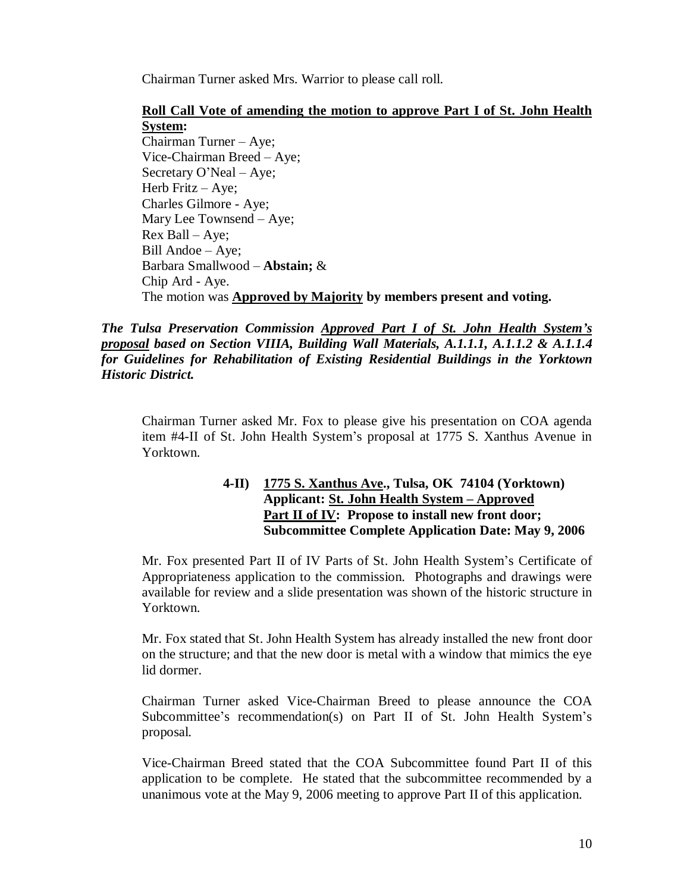Chairman Turner asked Mrs. Warrior to please call roll.

## **Roll Call Vote of amending the motion to approve Part I of St. John Health System:**

Chairman Turner – Aye; Vice-Chairman Breed – Aye; Secretary O'Neal – Aye; Herb Fritz  $-$  Aye; Charles Gilmore - Aye; Mary Lee Townsend – Aye; Rex Ball –Aye; Bill Andoe – Aye; Barbara Smallwood –**Abstain;** & Chip Ard - Aye. The motion was **Approved by Majority by members present and voting.**

*The Tulsa Preservation Commission Approved Part I of St. John Health System's proposal based on Section VIIIA, Building Wall Materials, A.1.1.1, A.1.1.2 & A.1.1.4 for Guidelines for Rehabilitation of Existing Residential Buildings in the Yorktown Historic District.*

Chairman Turner asked Mr. Fox to please give his presentation on COA agenda item #4-II of St. John Health System's proposal at 1775 S. Xanthus Avenue in Yorktown.

## **4-II) 1775 S. Xanthus Ave., Tulsa, OK 74104 (Yorktown) Applicant: St. John Health System –Approved Part II of IV: Propose to install new front door; Subcommittee Complete Application Date: May 9, 2006**

Mr. Fox presented Part II of IV Parts of St. John Health System's Certificate of Appropriateness application to the commission. Photographs and drawings were available for review and a slide presentation was shown of the historic structure in Yorktown.

Mr. Fox stated that St. John Health System has already installed the new front door on the structure; and that the new door is metal with a window that mimics the eye lid dormer.

Chairman Turner asked Vice-Chairman Breed to please announce the COA Subcommittee's recommendation(s) on Part II of St. John Health System's proposal.

Vice-Chairman Breed stated that the COA Subcommittee found Part II of this application to be complete. He stated that the subcommittee recommended by a unanimous vote at the May 9, 2006 meeting to approve Part II of this application.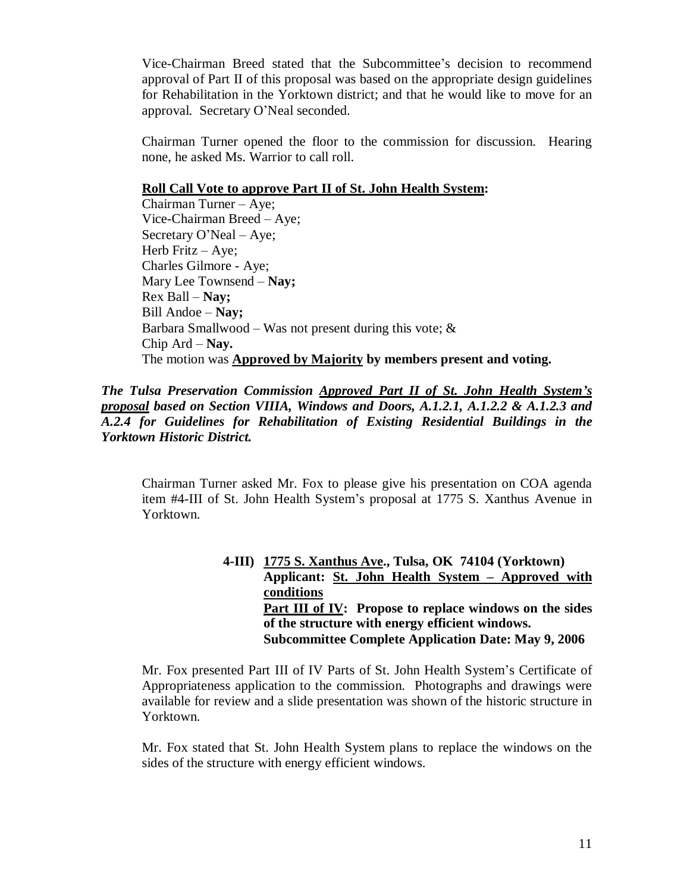Vice-Chairman Breed stated that the Subcommittee's decision to recommend approval of Part II of this proposal was based on the appropriate design guidelines for Rehabilitation in the Yorktown district; and that he would like to move for an approval. Secretary O'Neal seconded.

Chairman Turner opened the floor to the commission for discussion. Hearing none, he asked Ms. Warrior to call roll.

#### **Roll Call Vote to approve Part II of St. John Health System:**

Chairman Turner – Aye; Vice-Chairman Breed – Aye; Secretary O'Neal – Aye; Herb Fritz – Aye; Charles Gilmore - Aye; Mary Lee Townsend –**Nay;** Rex Ball –**Nay;** Bill Andoe –**Nay;** Barbara Smallwood – Was not present during this vote;  $\&$ Chip Ard –**Nay.** The motion was **Approved by Majority by members present and voting.**

*The Tulsa Preservation Commission Approved Part II of St. John Health System's proposal based on Section VIIIA, Windows and Doors, A.1.2.1, A.1.2.2 & A.1.2.3 and A.2.4 for Guidelines for Rehabilitation of Existing Residential Buildings in the Yorktown Historic District.*

Chairman Turner asked Mr. Fox to please give his presentation on COA agenda item #4-III of St. John Health System's proposal at 1775 S. Xanthus Avenue in Yorktown.

## **4-III) 1775 S. Xanthus Ave., Tulsa, OK 74104 (Yorktown) Applicant: St. John Health System – Approved with conditions Part III of IV: Propose to replace windows on the sides of the structure with energy efficient windows. Subcommittee Complete Application Date: May 9, 2006**

Mr. Fox presented Part III of IV Parts of St. John Health System's Certificate of Appropriateness application to the commission. Photographs and drawings were available for review and a slide presentation was shown of the historic structure in Yorktown.

Mr. Fox stated that St. John Health System plans to replace the windows on the sides of the structure with energy efficient windows.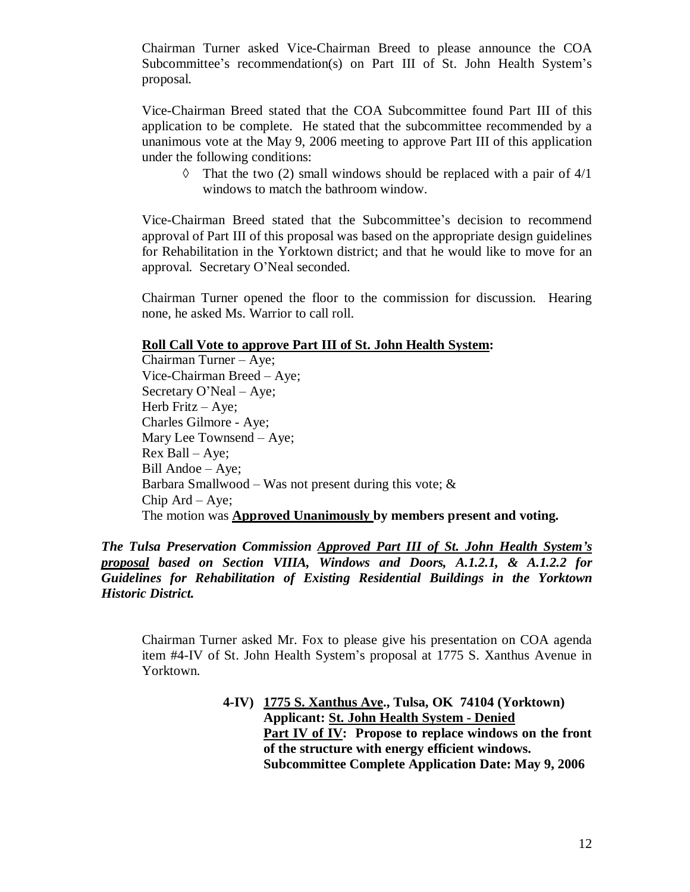Chairman Turner asked Vice-Chairman Breed to please announce the COA Subcommittee's recommendation(s) on Part III of St. John Health System's proposal.

Vice-Chairman Breed stated that the COA Subcommittee found Part III of this application to be complete. He stated that the subcommittee recommended by a unanimous vote at the May 9, 2006 meeting to approve Part III of this application under the following conditions:

 $\Diamond$  That the two (2) small windows should be replaced with a pair of 4/1 windows to match the bathroom window.

Vice-Chairman Breed stated that the Subcommittee's decision to recommend approval of Part III of this proposal was based on the appropriate design guidelines for Rehabilitation in the Yorktown district; and that he would like to move for an approval. Secretary O'Neal seconded.

Chairman Turner opened the floor to the commission for discussion. Hearing none, he asked Ms. Warrior to call roll.

#### **Roll Call Vote to approve Part III of St. John Health System:**

Chairman Turner – Aye; Vice-Chairman Breed – Aye; Secretary O'Neal – Aye; Herb Fritz – Aye; Charles Gilmore - Aye; Mary Lee Townsend – Aye; Rex Ball –Aye; Bill Andoe – Aye; Barbara Smallwood – Was not present during this vote;  $\&$ Chip  $Ard - Aye$ ; The motion was **Approved Unanimously by members present and voting.**

#### *The Tulsa Preservation Commission Approved Part III of St. John Health System's proposal based on Section VIIIA, Windows and Doors, A.1.2.1, & A.1.2.2 for Guidelines for Rehabilitation of Existing Residential Buildings in the Yorktown Historic District.*

Chairman Turner asked Mr. Fox to please give his presentation on COA agenda item #4-IV of St. John Health System's proposal at 1775 S. Xanthus Avenue in Yorktown.

## **4-IV) 1775 S. Xanthus Ave., Tulsa, OK 74104 (Yorktown) Applicant: St. John Health System - Denied Part IV of IV: Propose to replace windows on the front of the structure with energy efficient windows. Subcommittee Complete Application Date: May 9, 2006**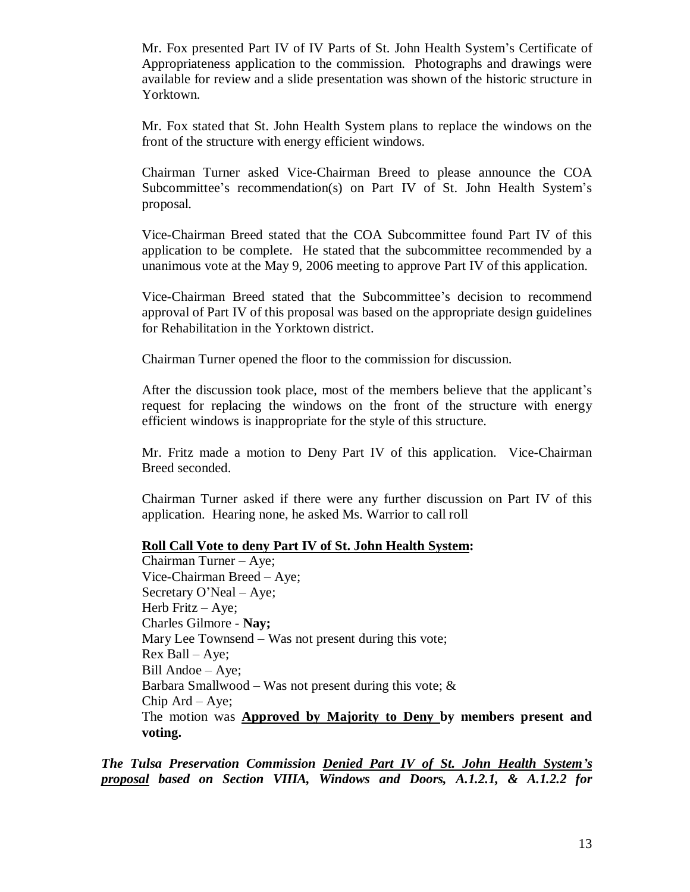Mr. Fox presented Part IV of IV Parts of St. John Health System's Certificate of Appropriateness application to the commission. Photographs and drawings were available for review and a slide presentation was shown of the historic structure in Yorktown.

Mr. Fox stated that St. John Health System plans to replace the windows on the front of the structure with energy efficient windows.

Chairman Turner asked Vice-Chairman Breed to please announce the COA Subcommittee's recommendation(s) on Part IV of St. John Health System's proposal.

Vice-Chairman Breed stated that the COA Subcommittee found Part IV of this application to be complete. He stated that the subcommittee recommended by a unanimous vote at the May 9, 2006 meeting to approve Part IV of this application.

Vice-Chairman Breed stated that the Subcommittee's decision to recommend approval of Part IV of this proposal was based on the appropriate design guidelines for Rehabilitation in the Yorktown district.

Chairman Turner opened the floor to the commission for discussion.

After the discussion took place, most of the members believe that the applicant's request for replacing the windows on the front of the structure with energy efficient windows is inappropriate for the style of this structure.

Mr. Fritz made a motion to Deny Part IV of this application. Vice-Chairman Breed seconded.

Chairman Turner asked if there were any further discussion on Part IV of this application. Hearing none, he asked Ms. Warrior to call roll

#### **Roll Call Vote to deny Part IV of St. John Health System:**

Chairman Turner – Aye; Vice-Chairman Breed – Aye; Secretary O'Neal – Aye; Herb Fritz – Aye; Charles Gilmore - **Nay;** Mary Lee Townsend - Was not present during this vote;  $Rex$  Ball – Aye; Bill Andoe – Aye; Barbara Smallwood – Was not present during this vote;  $\&$ Chip Ard – Aye; The motion was **Approved by Majority to Deny by members present and voting.**

*The Tulsa Preservation Commission Denied Part IV of St. John Health System's proposal based on Section VIIIA, Windows and Doors, A.1.2.1, & A.1.2.2 for*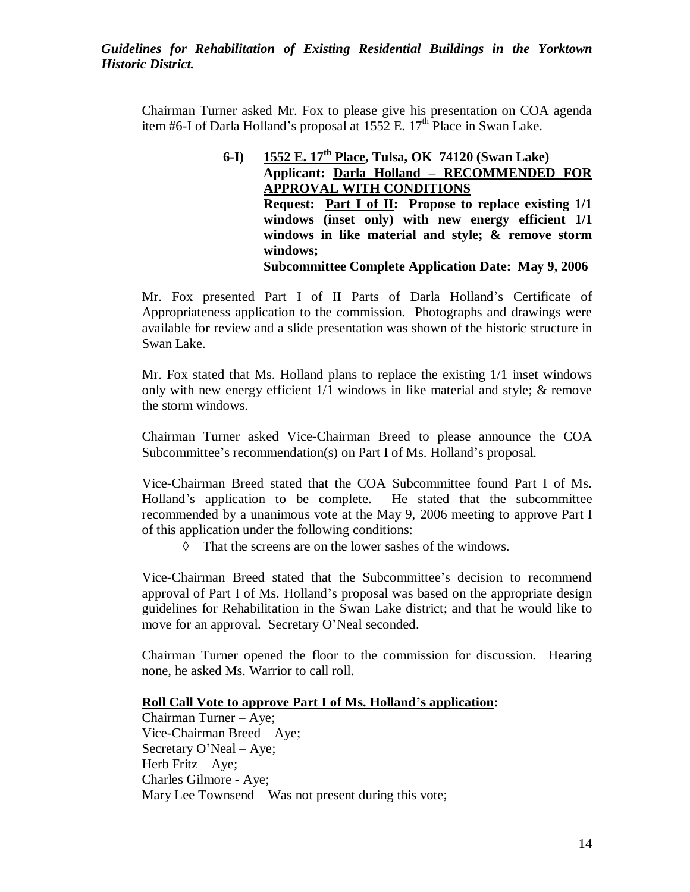*Guidelines for Rehabilitation of Existing Residential Buildings in the Yorktown Historic District.*

Chairman Turner asked Mr. Fox to please give his presentation on COA agenda item #6-I of Darla Holland's proposal at  $1552$  E.  $17<sup>th</sup>$  Place in Swan Lake.

> **6-I) 1552 E. 17th Place, Tulsa, OK 74120 (Swan Lake) Applicant: Darla Holland – RECOMMENDED FOR APPROVAL WITH CONDITIONS Request: Part I of II: Propose to replace existing 1/1 windows (inset only) with new energy efficient 1/1 windows in like material and style; & remove storm windows; Subcommittee Complete Application Date: May 9, 2006**

Mr. Fox presented Part I of II Parts of Darla Holland's Certificate of Appropriateness application to the commission. Photographs and drawings were available for review and a slide presentation was shown of the historic structure in Swan Lake.

Mr. Fox stated that Ms. Holland plans to replace the existing 1/1 inset windows only with new energy efficient 1/1 windows in like material and style; & remove the storm windows.

Chairman Turner asked Vice-Chairman Breed to please announce the COA Subcommittee's recommendation(s) on Part I of Ms. Holland's proposal.

Vice-Chairman Breed stated that the COA Subcommittee found Part I of Ms. Holland's application to be complete. He stated that the subcommittee recommended by a unanimous vote at the May 9, 2006 meeting to approve Part I of this application under the following conditions:

 $\Diamond$  That the screens are on the lower sashes of the windows.

Vice-Chairman Breed stated that the Subcommittee's decision to recommend approval of Part I of Ms. Holland's proposal was based on the appropriate design guidelines for Rehabilitation in the Swan Lake district; and that he would like to move for an approval. Secretary O'Neal seconded.

Chairman Turner opened the floor to the commission for discussion. Hearing none, he asked Ms. Warrior to call roll.

#### **Roll Call Vote to approve Part I of Ms. Holland's application:**

Chairman Turner – Aye; Vice-Chairman Breed – Aye; Secretary O'Neal – Aye; Herb Fritz – Aye; Charles Gilmore - Aye; Mary Lee Townsend – Was not present during this vote;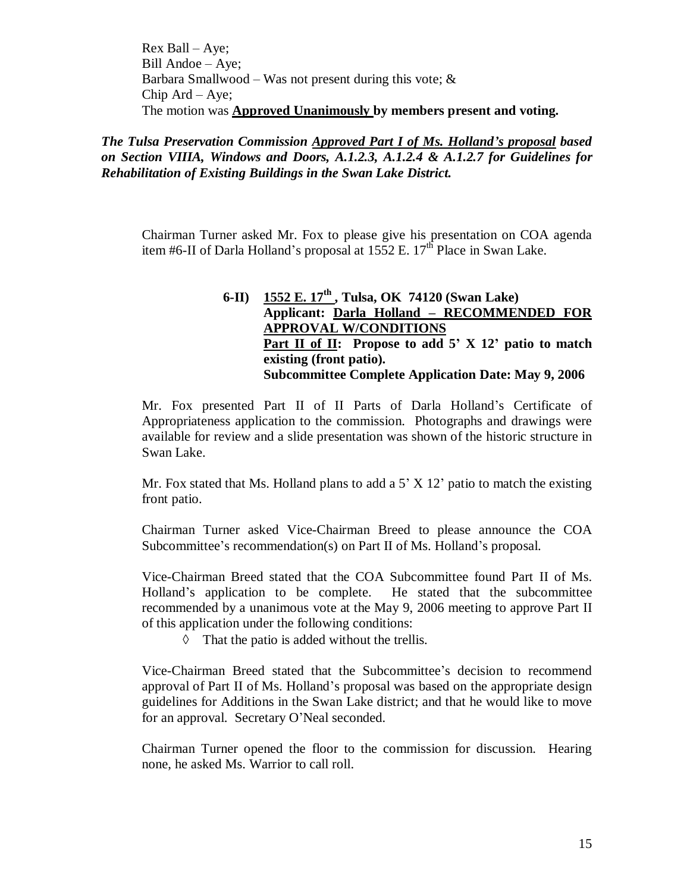Rex Ball –Aye; Bill Andoe – Aye; Barbara Smallwood – Was not present during this vote;  $\&$ Chip Ard – Aye; The motion was **Approved Unanimously by members present and voting.**

*The Tulsa Preservation Commission Approved Part I of Ms. Holland's proposal based on Section VIIIA, Windows and Doors, A.1.2.3, A.1.2.4 & A.1.2.7 for Guidelines for Rehabilitation of Existing Buildings in the Swan Lake District.*

Chairman Turner asked Mr. Fox to please give his presentation on COA agenda item #6-II of Darla Holland's proposal at  $1552$  E.  $17<sup>th</sup>$  Place in Swan Lake.

## **6-II) 1552 E. 17th , Tulsa, OK 74120 (Swan Lake) Applicant: Darla Holland – RECOMMENDED FOR APPROVAL W/CONDITIONS Part II of II: Propose to add 5' X 12' patio to match existing (front patio). Subcommittee Complete Application Date: May 9, 2006**

Mr. Fox presented Part II of II Parts of Darla Holland's Certificate of Appropriateness application to the commission. Photographs and drawings were available for review and a slide presentation was shown of the historic structure in Swan Lake.

Mr. Fox stated that Ms. Holland plans to add a  $5'$  X 12<sup>'</sup> patio to match the existing front patio.

Chairman Turner asked Vice-Chairman Breed to please announce the COA Subcommittee's recommendation(s) on Part II of Ms. Holland's proposal.

Vice-Chairman Breed stated that the COA Subcommittee found Part II of Ms. Holland's application to be complete. He stated that the subcommittee recommended by a unanimous vote at the May 9, 2006 meeting to approve Part II of this application under the following conditions:

 $\Diamond$  That the patio is added without the trellis.

Vice-Chairman Breed stated that the Subcommittee's decision to recommend approval of Part II of Ms. Holland's proposal was based on the appropriate design guidelines for Additions in the Swan Lake district; and that he would like to move for an approval. Secretary O'Neal seconded.

Chairman Turner opened the floor to the commission for discussion. Hearing none, he asked Ms. Warrior to call roll.